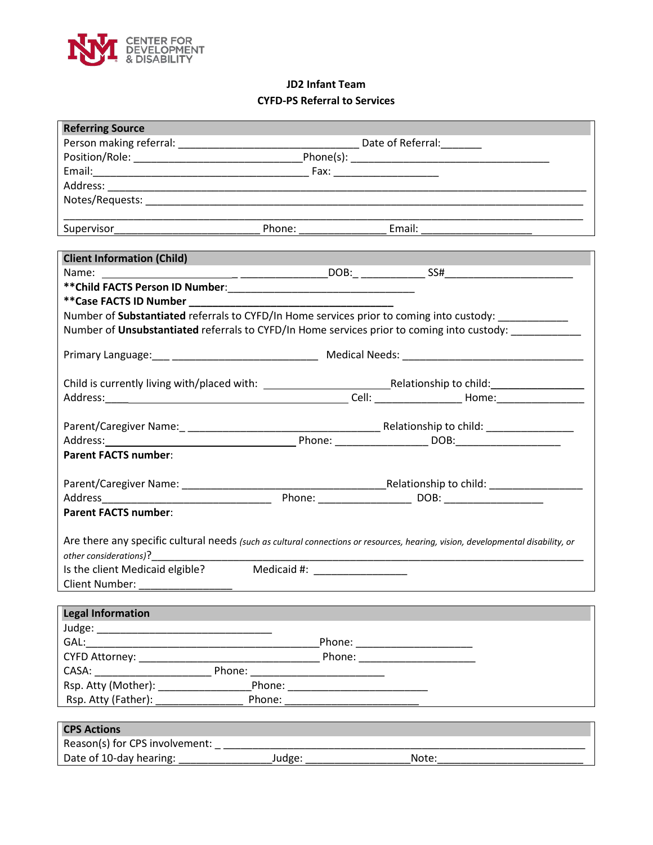

## **JD2 Infant Team CYFD-PS Referral to Services**

| <b>Referring Source</b>                                                                                                                                                                                                        |                               |  |                                                                                                                                                                                                                                |  |  |  |
|--------------------------------------------------------------------------------------------------------------------------------------------------------------------------------------------------------------------------------|-------------------------------|--|--------------------------------------------------------------------------------------------------------------------------------------------------------------------------------------------------------------------------------|--|--|--|
|                                                                                                                                                                                                                                |                               |  |                                                                                                                                                                                                                                |  |  |  |
|                                                                                                                                                                                                                                |                               |  |                                                                                                                                                                                                                                |  |  |  |
|                                                                                                                                                                                                                                |                               |  |                                                                                                                                                                                                                                |  |  |  |
|                                                                                                                                                                                                                                |                               |  |                                                                                                                                                                                                                                |  |  |  |
|                                                                                                                                                                                                                                |                               |  |                                                                                                                                                                                                                                |  |  |  |
|                                                                                                                                                                                                                                |                               |  |                                                                                                                                                                                                                                |  |  |  |
|                                                                                                                                                                                                                                |                               |  |                                                                                                                                                                                                                                |  |  |  |
|                                                                                                                                                                                                                                |                               |  |                                                                                                                                                                                                                                |  |  |  |
| <b>Client Information (Child)</b>                                                                                                                                                                                              |                               |  |                                                                                                                                                                                                                                |  |  |  |
|                                                                                                                                                                                                                                |                               |  |                                                                                                                                                                                                                                |  |  |  |
|                                                                                                                                                                                                                                |                               |  |                                                                                                                                                                                                                                |  |  |  |
|                                                                                                                                                                                                                                |                               |  |                                                                                                                                                                                                                                |  |  |  |
|                                                                                                                                                                                                                                |                               |  | Number of Substantiated referrals to CYFD/In Home services prior to coming into custody: __________                                                                                                                            |  |  |  |
| Number of Unsubstantiated referrals to CYFD/In Home services prior to coming into custody:                                                                                                                                     |                               |  |                                                                                                                                                                                                                                |  |  |  |
|                                                                                                                                                                                                                                |                               |  |                                                                                                                                                                                                                                |  |  |  |
|                                                                                                                                                                                                                                |                               |  |                                                                                                                                                                                                                                |  |  |  |
|                                                                                                                                                                                                                                |                               |  |                                                                                                                                                                                                                                |  |  |  |
|                                                                                                                                                                                                                                |                               |  |                                                                                                                                                                                                                                |  |  |  |
|                                                                                                                                                                                                                                |                               |  |                                                                                                                                                                                                                                |  |  |  |
|                                                                                                                                                                                                                                |                               |  |                                                                                                                                                                                                                                |  |  |  |
|                                                                                                                                                                                                                                |                               |  |                                                                                                                                                                                                                                |  |  |  |
|                                                                                                                                                                                                                                |                               |  |                                                                                                                                                                                                                                |  |  |  |
| <b>Parent FACTS number:</b>                                                                                                                                                                                                    |                               |  |                                                                                                                                                                                                                                |  |  |  |
|                                                                                                                                                                                                                                |                               |  |                                                                                                                                                                                                                                |  |  |  |
|                                                                                                                                                                                                                                |                               |  |                                                                                                                                                                                                                                |  |  |  |
|                                                                                                                                                                                                                                |                               |  |                                                                                                                                                                                                                                |  |  |  |
| <b>Parent FACTS number:</b>                                                                                                                                                                                                    |                               |  |                                                                                                                                                                                                                                |  |  |  |
|                                                                                                                                                                                                                                |                               |  |                                                                                                                                                                                                                                |  |  |  |
|                                                                                                                                                                                                                                |                               |  | Are there any specific cultural needs (such as cultural connections or resources, hearing, vision, developmental disability, or                                                                                                |  |  |  |
|                                                                                                                                                                                                                                |                               |  |                                                                                                                                                                                                                                |  |  |  |
| Is the client Medicaid elgible?                                                                                                                                                                                                | Medicaid #: _________________ |  |                                                                                                                                                                                                                                |  |  |  |
| Client Number: _______________                                                                                                                                                                                                 |                               |  |                                                                                                                                                                                                                                |  |  |  |
|                                                                                                                                                                                                                                |                               |  |                                                                                                                                                                                                                                |  |  |  |
| <b>Legal Information</b>                                                                                                                                                                                                       |                               |  |                                                                                                                                                                                                                                |  |  |  |
| Judge: North and the state of the state of the state of the state of the state of the state of the state of the state of the state of the state of the state of the state of the state of the state of the state of the state  |                               |  |                                                                                                                                                                                                                                |  |  |  |
|                                                                                                                                                                                                                                |                               |  |                                                                                                                                                                                                                                |  |  |  |
|                                                                                                                                                                                                                                |                               |  | Phone: National Phone: National Phone: National Phone: National Phone: National Phone: National Phone: National Phone: National Phone: National Phone: National Phone: National Phone: National Phone: National Phone: Nationa |  |  |  |
| CASA: The contract of the contract of the contract of the contract of the contract of the contract of the contract of the contract of the contract of the contract of the contract of the contract of the contract of the cont |                               |  |                                                                                                                                                                                                                                |  |  |  |
|                                                                                                                                                                                                                                |                               |  |                                                                                                                                                                                                                                |  |  |  |
| Rsp. Atty (Father): Name of the Rep. 2014                                                                                                                                                                                      |                               |  |                                                                                                                                                                                                                                |  |  |  |
|                                                                                                                                                                                                                                |                               |  |                                                                                                                                                                                                                                |  |  |  |
| <b>CPS Actions</b>                                                                                                                                                                                                             |                               |  |                                                                                                                                                                                                                                |  |  |  |
| Reason(s) for CPS involvement: _ _                                                                                                                                                                                             |                               |  |                                                                                                                                                                                                                                |  |  |  |
| Date of 10-day hearing:                                                                                                                                                                                                        | Judge:                        |  | Note:                                                                                                                                                                                                                          |  |  |  |